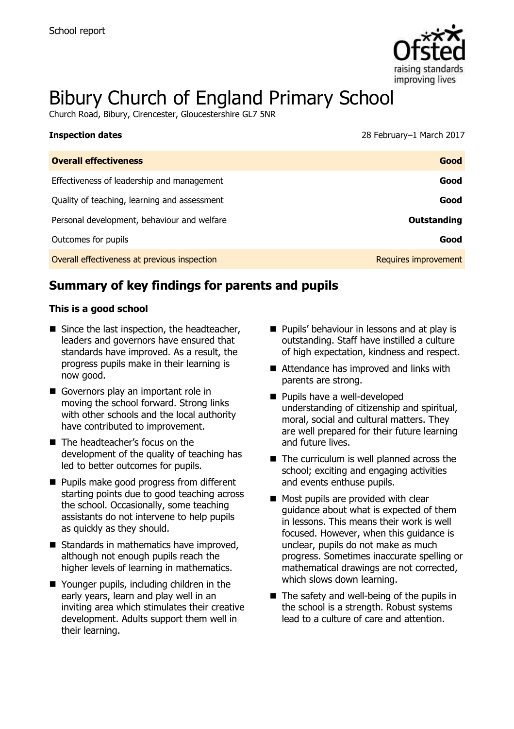

# Bibury Church of England Primary School

Church Road, Bibury, Cirencester, Gloucestershire GL7 5NR

| <b>Inspection dates</b>                      | 28 February-1 March 2017 |
|----------------------------------------------|--------------------------|
| <b>Overall effectiveness</b>                 | Good                     |
| Effectiveness of leadership and management   | Good                     |
| Quality of teaching, learning and assessment | Good                     |
| Personal development, behaviour and welfare  | Outstanding              |
| Outcomes for pupils                          | Good                     |
| Overall effectiveness at previous inspection | Requires improvement     |

# **Summary of key findings for parents and pupils**

#### **This is a good school**

- $\blacksquare$  Since the last inspection, the headteacher, leaders and governors have ensured that standards have improved. As a result, the progress pupils make in their learning is now good.
- Governors play an important role in moving the school forward. Strong links with other schools and the local authority have contributed to improvement.
- The headteacher's focus on the development of the quality of teaching has led to better outcomes for pupils.
- **Pupils make good progress from different** starting points due to good teaching across the school. Occasionally, some teaching assistants do not intervene to help pupils as quickly as they should.
- Standards in mathematics have improved, although not enough pupils reach the higher levels of learning in mathematics.
- Younger pupils, including children in the early years, learn and play well in an inviting area which stimulates their creative development. Adults support them well in their learning.
- **Pupils' behaviour in lessons and at play is** outstanding. Staff have instilled a culture of high expectation, kindness and respect.
- Attendance has improved and links with parents are strong.
- **Pupils have a well-developed** understanding of citizenship and spiritual, moral, social and cultural matters. They are well prepared for their future learning and future lives.
- The curriculum is well planned across the school; exciting and engaging activities and events enthuse pupils.
- **Most pupils are provided with clear** guidance about what is expected of them in lessons. This means their work is well focused. However, when this guidance is unclear, pupils do not make as much progress. Sometimes inaccurate spelling or mathematical drawings are not corrected, which slows down learning.
- $\blacksquare$  The safety and well-being of the pupils in the school is a strength. Robust systems lead to a culture of care and attention.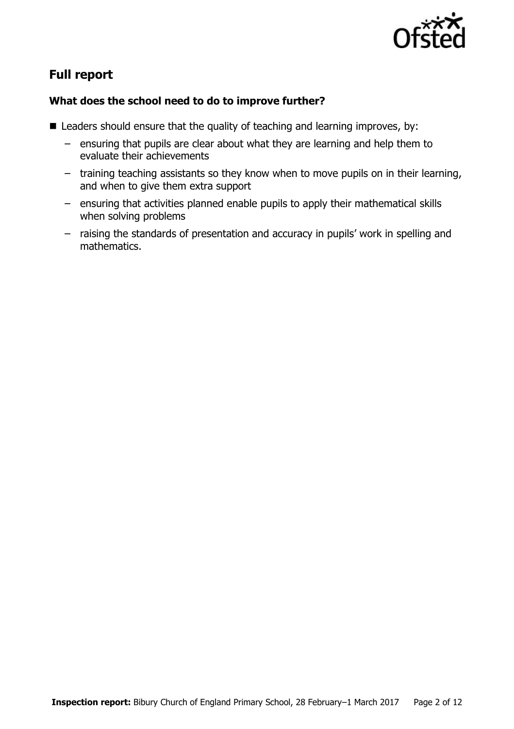

# **Full report**

### **What does the school need to do to improve further?**

- Leaders should ensure that the quality of teaching and learning improves, by:
	- ensuring that pupils are clear about what they are learning and help them to evaluate their achievements
	- training teaching assistants so they know when to move pupils on in their learning, and when to give them extra support
	- ensuring that activities planned enable pupils to apply their mathematical skills when solving problems
	- raising the standards of presentation and accuracy in pupils' work in spelling and mathematics.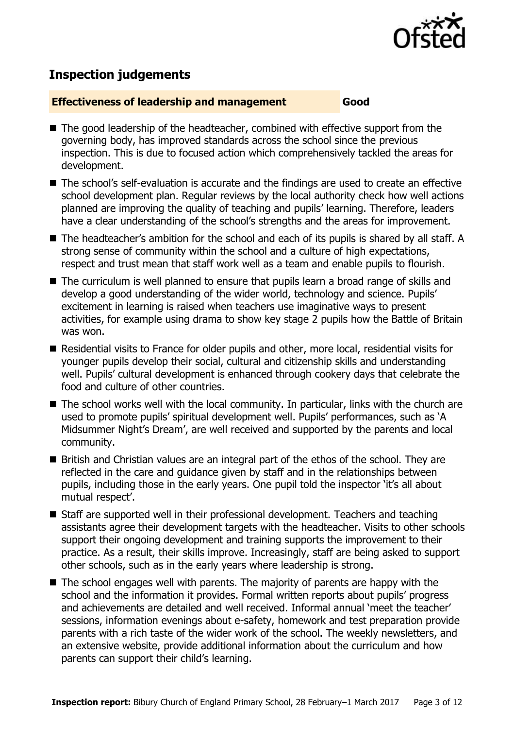

# **Inspection judgements**

#### **Effectiveness of leadership and management Good**

- The good leadership of the headteacher, combined with effective support from the governing body, has improved standards across the school since the previous inspection. This is due to focused action which comprehensively tackled the areas for development.
- The school's self-evaluation is accurate and the findings are used to create an effective school development plan. Regular reviews by the local authority check how well actions planned are improving the quality of teaching and pupils' learning. Therefore, leaders have a clear understanding of the school's strengths and the areas for improvement.
- The headteacher's ambition for the school and each of its pupils is shared by all staff. A strong sense of community within the school and a culture of high expectations, respect and trust mean that staff work well as a team and enable pupils to flourish.
- The curriculum is well planned to ensure that pupils learn a broad range of skills and develop a good understanding of the wider world, technology and science. Pupils' excitement in learning is raised when teachers use imaginative ways to present activities, for example using drama to show key stage 2 pupils how the Battle of Britain was won.
- Residential visits to France for older pupils and other, more local, residential visits for younger pupils develop their social, cultural and citizenship skills and understanding well. Pupils' cultural development is enhanced through cookery days that celebrate the food and culture of other countries.
- The school works well with the local community. In particular, links with the church are used to promote pupils' spiritual development well. Pupils' performances, such as 'A Midsummer Night's Dream', are well received and supported by the parents and local community.
- British and Christian values are an integral part of the ethos of the school. They are reflected in the care and guidance given by staff and in the relationships between pupils, including those in the early years. One pupil told the inspector 'it's all about mutual respect'.
- Staff are supported well in their professional development. Teachers and teaching assistants agree their development targets with the headteacher. Visits to other schools support their ongoing development and training supports the improvement to their practice. As a result, their skills improve. Increasingly, staff are being asked to support other schools, such as in the early years where leadership is strong.
- $\blacksquare$  The school engages well with parents. The majority of parents are happy with the school and the information it provides. Formal written reports about pupils' progress and achievements are detailed and well received. Informal annual 'meet the teacher' sessions, information evenings about e-safety, homework and test preparation provide parents with a rich taste of the wider work of the school. The weekly newsletters, and an extensive website, provide additional information about the curriculum and how parents can support their child's learning.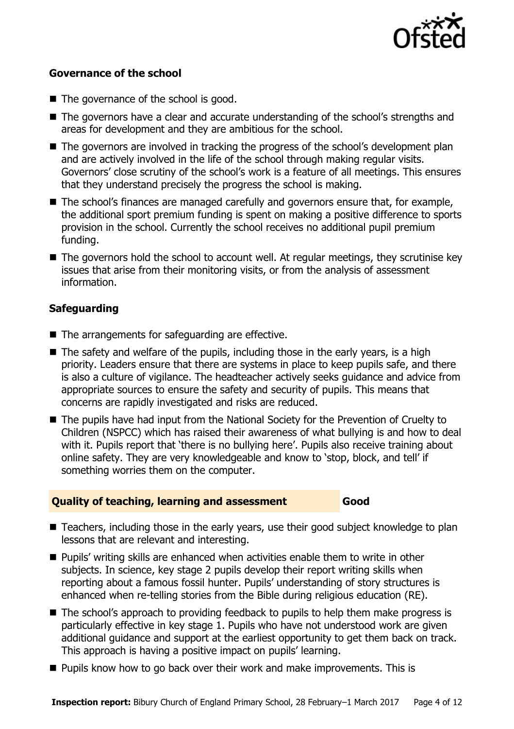

#### **Governance of the school**

- The governance of the school is good.
- The governors have a clear and accurate understanding of the school's strengths and areas for development and they are ambitious for the school.
- The governors are involved in tracking the progress of the school's development plan and are actively involved in the life of the school through making regular visits. Governors' close scrutiny of the school's work is a feature of all meetings. This ensures that they understand precisely the progress the school is making.
- The school's finances are managed carefully and governors ensure that, for example, the additional sport premium funding is spent on making a positive difference to sports provision in the school. Currently the school receives no additional pupil premium funding.
- The governors hold the school to account well. At regular meetings, they scrutinise key issues that arise from their monitoring visits, or from the analysis of assessment information.

#### **Safeguarding**

- $\blacksquare$  The arrangements for safeguarding are effective.
- $\blacksquare$  The safety and welfare of the pupils, including those in the early years, is a high priority. Leaders ensure that there are systems in place to keep pupils safe, and there is also a culture of vigilance. The headteacher actively seeks guidance and advice from appropriate sources to ensure the safety and security of pupils. This means that concerns are rapidly investigated and risks are reduced.
- The pupils have had input from the National Society for the Prevention of Cruelty to Children (NSPCC) which has raised their awareness of what bullying is and how to deal with it. Pupils report that 'there is no bullying here'. Pupils also receive training about online safety. They are very knowledgeable and know to 'stop, block, and tell' if something worries them on the computer.

#### **Quality of teaching, learning and assessment Good**

- Teachers, including those in the early years, use their good subject knowledge to plan lessons that are relevant and interesting.
- Pupils' writing skills are enhanced when activities enable them to write in other subjects. In science, key stage 2 pupils develop their report writing skills when reporting about a famous fossil hunter. Pupils' understanding of story structures is enhanced when re-telling stories from the Bible during religious education (RE).
- The school's approach to providing feedback to pupils to help them make progress is particularly effective in key stage 1. Pupils who have not understood work are given additional guidance and support at the earliest opportunity to get them back on track. This approach is having a positive impact on pupils' learning.
- **Pupils know how to go back over their work and make improvements. This is**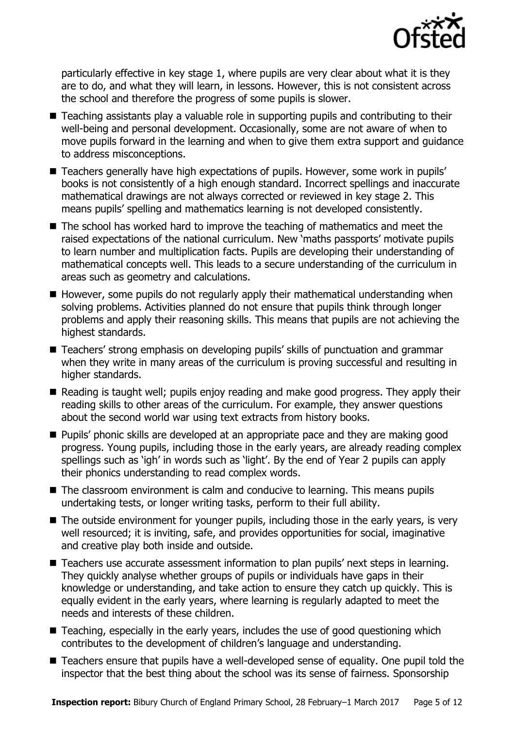

particularly effective in key stage 1, where pupils are very clear about what it is they are to do, and what they will learn, in lessons. However, this is not consistent across the school and therefore the progress of some pupils is slower.

- Teaching assistants play a valuable role in supporting pupils and contributing to their well-being and personal development. Occasionally, some are not aware of when to move pupils forward in the learning and when to give them extra support and guidance to address misconceptions.
- Teachers generally have high expectations of pupils. However, some work in pupils' books is not consistently of a high enough standard. Incorrect spellings and inaccurate mathematical drawings are not always corrected or reviewed in key stage 2. This means pupils' spelling and mathematics learning is not developed consistently.
- The school has worked hard to improve the teaching of mathematics and meet the raised expectations of the national curriculum. New 'maths passports' motivate pupils to learn number and multiplication facts. Pupils are developing their understanding of mathematical concepts well. This leads to a secure understanding of the curriculum in areas such as geometry and calculations.
- $\blacksquare$  However, some pupils do not regularly apply their mathematical understanding when solving problems. Activities planned do not ensure that pupils think through longer problems and apply their reasoning skills. This means that pupils are not achieving the highest standards.
- Teachers' strong emphasis on developing pupils' skills of punctuation and grammar when they write in many areas of the curriculum is proving successful and resulting in higher standards.
- Reading is taught well; pupils enjoy reading and make good progress. They apply their reading skills to other areas of the curriculum. For example, they answer questions about the second world war using text extracts from history books.
- **Pupils'** phonic skills are developed at an appropriate pace and they are making good progress. Young pupils, including those in the early years, are already reading complex spellings such as 'igh' in words such as 'light'. By the end of Year 2 pupils can apply their phonics understanding to read complex words.
- The classroom environment is calm and conducive to learning. This means pupils undertaking tests, or longer writing tasks, perform to their full ability.
- The outside environment for younger pupils, including those in the early years, is very well resourced; it is inviting, safe, and provides opportunities for social, imaginative and creative play both inside and outside.
- Teachers use accurate assessment information to plan pupils' next steps in learning. They quickly analyse whether groups of pupils or individuals have gaps in their knowledge or understanding, and take action to ensure they catch up quickly. This is equally evident in the early years, where learning is regularly adapted to meet the needs and interests of these children.
- $\blacksquare$  Teaching, especially in the early years, includes the use of good questioning which contributes to the development of children's language and understanding.
- Teachers ensure that pupils have a well-developed sense of equality. One pupil told the inspector that the best thing about the school was its sense of fairness. Sponsorship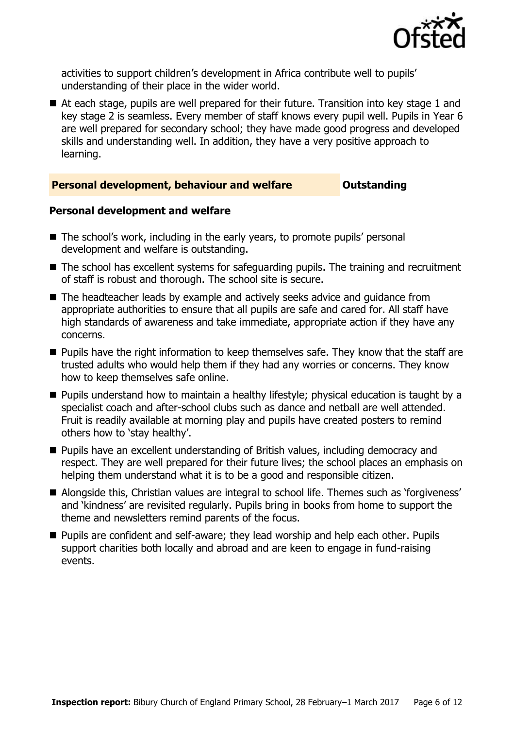

activities to support children's development in Africa contribute well to pupils' understanding of their place in the wider world.

■ At each stage, pupils are well prepared for their future. Transition into key stage 1 and key stage 2 is seamless. Every member of staff knows every pupil well. Pupils in Year 6 are well prepared for secondary school; they have made good progress and developed skills and understanding well. In addition, they have a very positive approach to learning.

#### **Personal development, behaviour and welfare <b>COUNG COULDER** Outstanding

#### **Personal development and welfare**

- The school's work, including in the early years, to promote pupils' personal development and welfare is outstanding.
- The school has excellent systems for safeguarding pupils. The training and recruitment of staff is robust and thorough. The school site is secure.
- The headteacher leads by example and actively seeks advice and guidance from appropriate authorities to ensure that all pupils are safe and cared for. All staff have high standards of awareness and take immediate, appropriate action if they have any concerns.
- **Pupils have the right information to keep themselves safe. They know that the staff are** trusted adults who would help them if they had any worries or concerns. They know how to keep themselves safe online.
- **Pupils understand how to maintain a healthy lifestyle; physical education is taught by a** specialist coach and after-school clubs such as dance and netball are well attended. Fruit is readily available at morning play and pupils have created posters to remind others how to 'stay healthy'.
- **Pupils have an excellent understanding of British values, including democracy and** respect. They are well prepared for their future lives; the school places an emphasis on helping them understand what it is to be a good and responsible citizen.
- Alongside this, Christian values are integral to school life. Themes such as 'forgiveness' and 'kindness' are revisited regularly. Pupils bring in books from home to support the theme and newsletters remind parents of the focus.
- Pupils are confident and self-aware; they lead worship and help each other. Pupils support charities both locally and abroad and are keen to engage in fund-raising events.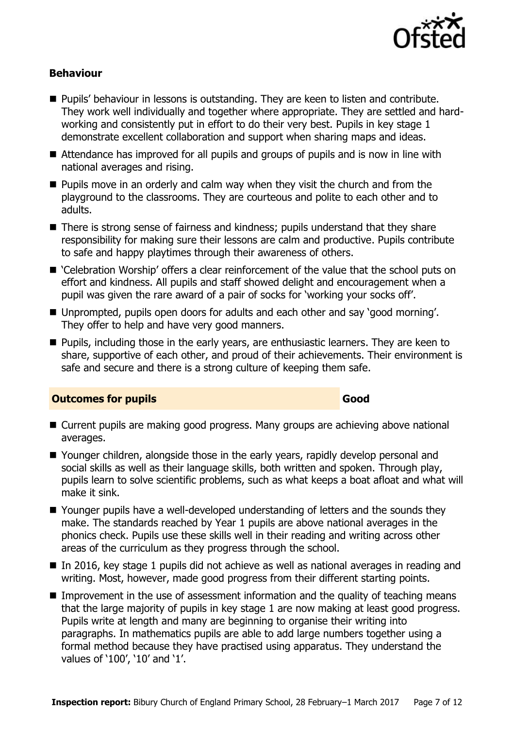

#### **Behaviour**

- **Pupils' behaviour in lessons is outstanding. They are keen to listen and contribute.** They work well individually and together where appropriate. They are settled and hardworking and consistently put in effort to do their very best. Pupils in key stage 1 demonstrate excellent collaboration and support when sharing maps and ideas.
- Attendance has improved for all pupils and groups of pupils and is now in line with national averages and rising.
- **Pupils move in an orderly and calm way when they visit the church and from the** playground to the classrooms. They are courteous and polite to each other and to adults.
- There is strong sense of fairness and kindness; pupils understand that they share responsibility for making sure their lessons are calm and productive. Pupils contribute to safe and happy playtimes through their awareness of others.
- 'Celebration Worship' offers a clear reinforcement of the value that the school puts on effort and kindness. All pupils and staff showed delight and encouragement when a pupil was given the rare award of a pair of socks for 'working your socks off'.
- Unprompted, pupils open doors for adults and each other and say 'good morning'. They offer to help and have very good manners.
- **Pupils, including those in the early years, are enthusiastic learners. They are keen to** share, supportive of each other, and proud of their achievements. Their environment is safe and secure and there is a strong culture of keeping them safe.

#### **Outcomes for pupils Good**

- Current pupils are making good progress. Many groups are achieving above national averages.
- Younger children, alongside those in the early years, rapidly develop personal and social skills as well as their language skills, both written and spoken. Through play, pupils learn to solve scientific problems, such as what keeps a boat afloat and what will make it sink.
- Younger pupils have a well-developed understanding of letters and the sounds they make. The standards reached by Year 1 pupils are above national averages in the phonics check. Pupils use these skills well in their reading and writing across other areas of the curriculum as they progress through the school.
- In 2016, key stage 1 pupils did not achieve as well as national averages in reading and writing. Most, however, made good progress from their different starting points.
- **IMPROM** Improvement in the use of assessment information and the quality of teaching means that the large majority of pupils in key stage 1 are now making at least good progress. Pupils write at length and many are beginning to organise their writing into paragraphs. In mathematics pupils are able to add large numbers together using a formal method because they have practised using apparatus. They understand the values of '100', '10' and '1'.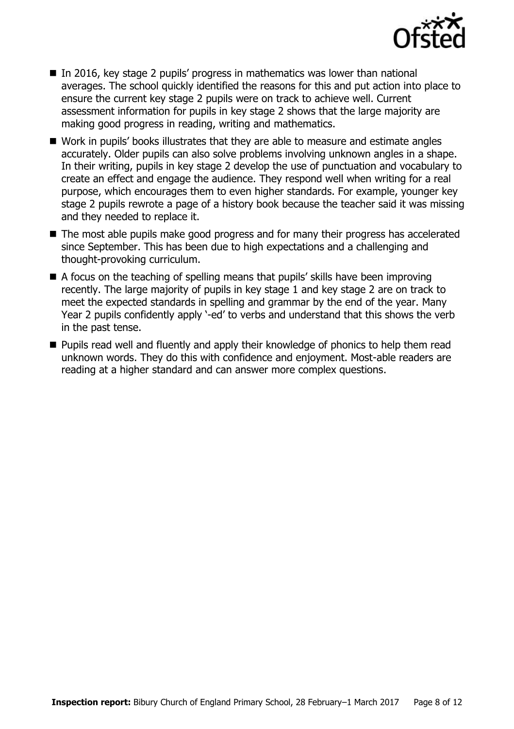

- In 2016, key stage 2 pupils' progress in mathematics was lower than national averages. The school quickly identified the reasons for this and put action into place to ensure the current key stage 2 pupils were on track to achieve well. Current assessment information for pupils in key stage 2 shows that the large majority are making good progress in reading, writing and mathematics.
- Work in pupils' books illustrates that they are able to measure and estimate angles accurately. Older pupils can also solve problems involving unknown angles in a shape. In their writing, pupils in key stage 2 develop the use of punctuation and vocabulary to create an effect and engage the audience. They respond well when writing for a real purpose, which encourages them to even higher standards. For example, younger key stage 2 pupils rewrote a page of a history book because the teacher said it was missing and they needed to replace it.
- The most able pupils make good progress and for many their progress has accelerated since September. This has been due to high expectations and a challenging and thought-provoking curriculum.
- $\blacksquare$  A focus on the teaching of spelling means that pupils' skills have been improving recently. The large majority of pupils in key stage 1 and key stage 2 are on track to meet the expected standards in spelling and grammar by the end of the year. Many Year 2 pupils confidently apply '-ed' to verbs and understand that this shows the verb in the past tense.
- **Pupils read well and fluently and apply their knowledge of phonics to help them read** unknown words. They do this with confidence and enjoyment. Most-able readers are reading at a higher standard and can answer more complex questions.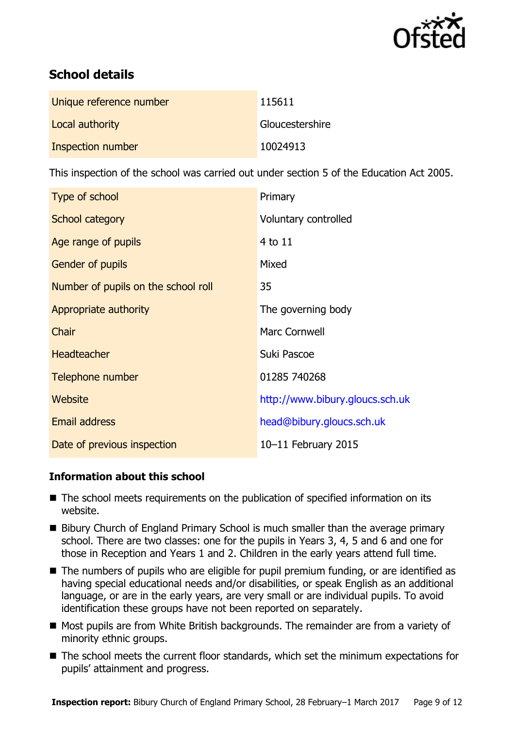

# **School details**

| Unique reference number | 115611          |
|-------------------------|-----------------|
| Local authority         | Gloucestershire |
| Inspection number       | 10024913        |

This inspection of the school was carried out under section 5 of the Education Act 2005.

| Type of school                      | Primary                         |
|-------------------------------------|---------------------------------|
| School category                     | Voluntary controlled            |
| Age range of pupils                 | 4 to 11                         |
| Gender of pupils                    | Mixed                           |
| Number of pupils on the school roll | 35                              |
| Appropriate authority               | The governing body              |
| Chair                               | Marc Cornwell                   |
| <b>Headteacher</b>                  | Suki Pascoe                     |
| Telephone number                    | 01285 740268                    |
| Website                             | http://www.bibury.gloucs.sch.uk |
| Email address                       | head@bibury.gloucs.sch.uk       |
| Date of previous inspection         | 10-11 February 2015             |

#### **Information about this school**

- The school meets requirements on the publication of specified information on its website.
- Bibury Church of England Primary School is much smaller than the average primary school. There are two classes: one for the pupils in Years 3, 4, 5 and 6 and one for those in Reception and Years 1 and 2. Children in the early years attend full time.
- The numbers of pupils who are eligible for pupil premium funding, or are identified as having special educational needs and/or disabilities, or speak English as an additional language, or are in the early years, are very small or are individual pupils. To avoid identification these groups have not been reported on separately.
- Most pupils are from White British backgrounds. The remainder are from a variety of minority ethnic groups.
- The school meets the current floor standards, which set the minimum expectations for pupils' attainment and progress.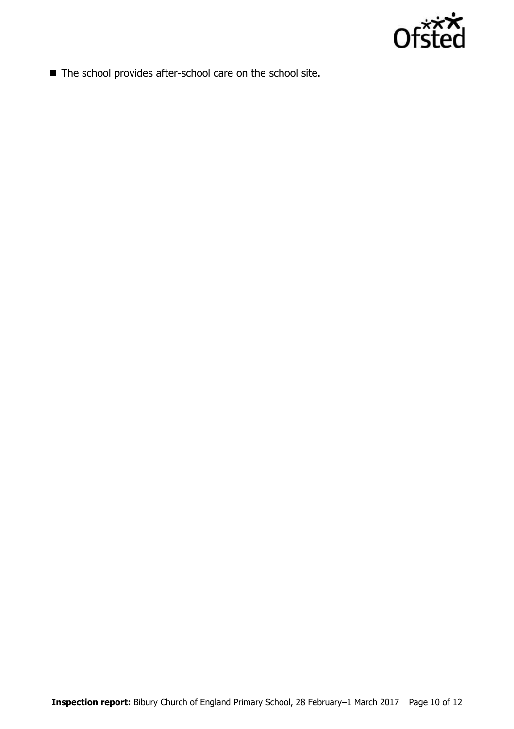

■ The school provides after-school care on the school site.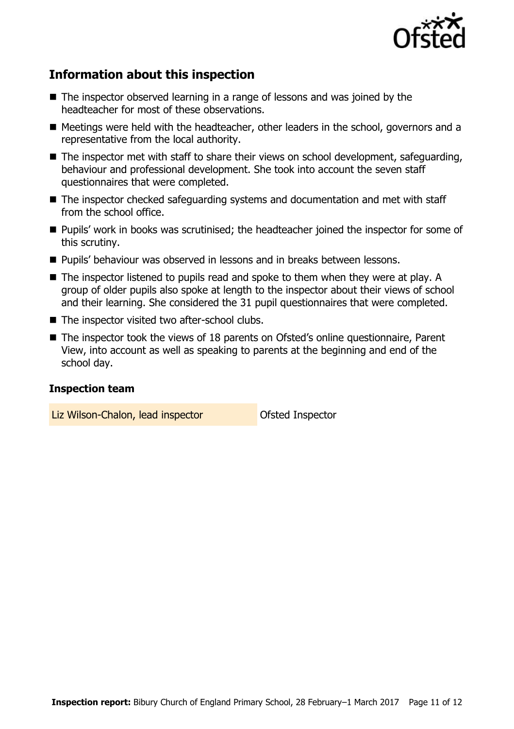

# **Information about this inspection**

- The inspector observed learning in a range of lessons and was joined by the headteacher for most of these observations.
- Meetings were held with the headteacher, other leaders in the school, governors and a representative from the local authority.
- The inspector met with staff to share their views on school development, safeguarding, behaviour and professional development. She took into account the seven staff questionnaires that were completed.
- The inspector checked safeguarding systems and documentation and met with staff from the school office.
- **Pupils' work in books was scrutinised; the headteacher joined the inspector for some of** this scrutiny.
- Pupils' behaviour was observed in lessons and in breaks between lessons.
- The inspector listened to pupils read and spoke to them when they were at play. A group of older pupils also spoke at length to the inspector about their views of school and their learning. She considered the 31 pupil questionnaires that were completed.
- The inspector visited two after-school clubs.
- The inspector took the views of 18 parents on Ofsted's online questionnaire, Parent View, into account as well as speaking to parents at the beginning and end of the school day.

#### **Inspection team**

Liz Wilson-Chalon, lead inspector **Chalon** Ofsted Inspector